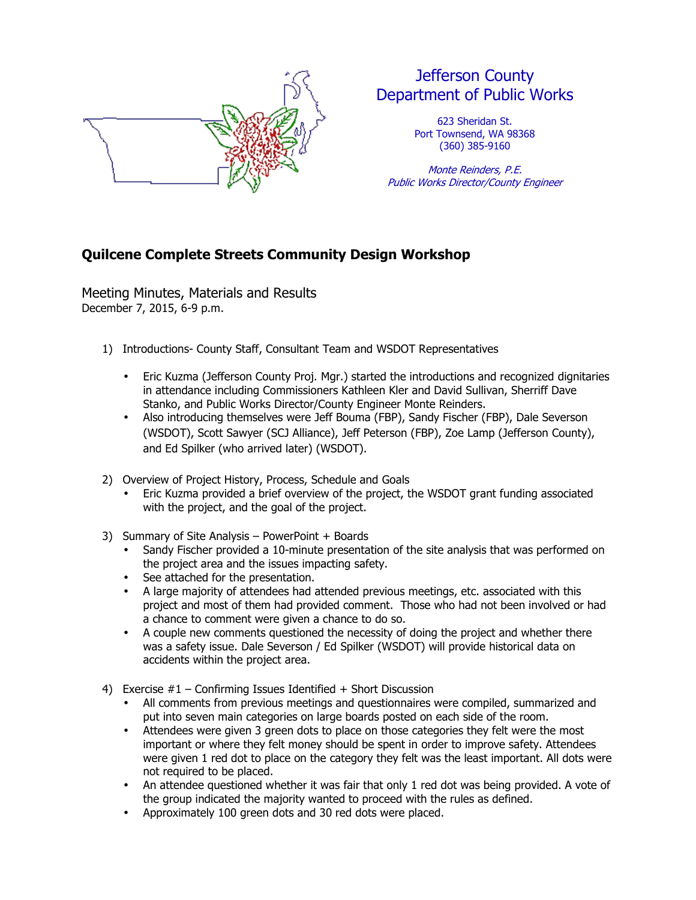

## Jefferson County Department of Public Works

623 Sheridan St. Port Townsend, WA 98368 (360) 385-9160

Monte Reinders, P.E. Public Works Director/County Engineer

## **Quilcene Complete Streets Community Design Workshop**

Meeting Minutes, Materials and Results December 7, 2015, 6-9 p.m.

- 1) Introductions- County Staff, Consultant Team and WSDOT Representatives
	- Eric Kuzma (Jefferson County Proj. Mgr.) started the introductions and recognized dignitaries in attendance including Commissioners Kathleen Kler and David Sullivan, Sherriff Dave Stanko, and Public Works Director/County Engineer Monte Reinders.
	- Also introducing themselves were Jeff Bouma (FBP), Sandy Fischer (FBP), Dale Severson (WSDOT), Scott Sawyer (SCJ Alliance), Jeff Peterson (FBP), Zoe Lamp (Jefferson County), and Ed Spilker (who arrived later) (WSDOT).
- 2) Overview of Project History, Process, Schedule and Goals
	- Eric Kuzma provided a brief overview of the project, the WSDOT grant funding associated with the project, and the goal of the project.
- 3) Summary of Site Analysis PowerPoint + Boards
	- Sandy Fischer provided a 10-minute presentation of the site analysis that was performed on the project area and the issues impacting safety.
	- See attached for the presentation.
	- A large majority of attendees had attended previous meetings, etc. associated with this project and most of them had provided comment. Those who had not been involved or had a chance to comment were given a chance to do so.
	- A couple new comments questioned the necessity of doing the project and whether there was a safety issue. Dale Severson / Ed Spilker (WSDOT) will provide historical data on accidents within the project area.
- 4) Exercise #1 Confirming Issues Identified + Short Discussion
	- All comments from previous meetings and questionnaires were compiled, summarized and put into seven main categories on large boards posted on each side of the room.
	- Attendees were given 3 green dots to place on those categories they felt were the most important or where they felt money should be spent in order to improve safety. Attendees were given 1 red dot to place on the category they felt was the least important. All dots were not required to be placed.
	- An attendee questioned whether it was fair that only 1 red dot was being provided. A vote of the group indicated the majority wanted to proceed with the rules as defined.
	- Approximately 100 green dots and 30 red dots were placed.